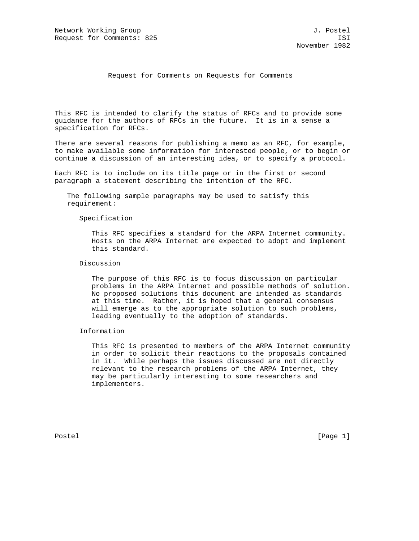## Request for Comments on Requests for Comments

This RFC is intended to clarify the status of RFCs and to provide some guidance for the authors of RFCs in the future. It is in a sense a specification for RFCs.

There are several reasons for publishing a memo as an RFC, for example, to make available some information for interested people, or to begin or continue a discussion of an interesting idea, or to specify a protocol.

Each RFC is to include on its title page or in the first or second paragraph a statement describing the intention of the RFC.

 The following sample paragraphs may be used to satisfy this requirement:

Specification

 This RFC specifies a standard for the ARPA Internet community. Hosts on the ARPA Internet are expected to adopt and implement this standard.

Discussion

 The purpose of this RFC is to focus discussion on particular problems in the ARPA Internet and possible methods of solution. No proposed solutions this document are intended as standards at this time. Rather, it is hoped that a general consensus will emerge as to the appropriate solution to such problems, leading eventually to the adoption of standards.

Information

 This RFC is presented to members of the ARPA Internet community in order to solicit their reactions to the proposals contained in it. While perhaps the issues discussed are not directly relevant to the research problems of the ARPA Internet, they may be particularly interesting to some researchers and implementers.

Postel [Page 1] [Page 1]